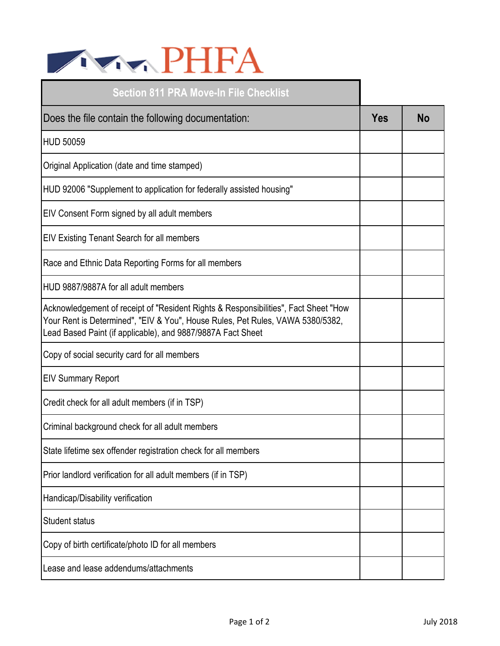

| <b>Section 811 PRA Move-In File Checklist</b>                                                                                                                                                                                        |            |    |
|--------------------------------------------------------------------------------------------------------------------------------------------------------------------------------------------------------------------------------------|------------|----|
| Does the file contain the following documentation:                                                                                                                                                                                   | <b>Yes</b> | No |
| <b>HUD 50059</b>                                                                                                                                                                                                                     |            |    |
| Original Application (date and time stamped)                                                                                                                                                                                         |            |    |
| HUD 92006 "Supplement to application for federally assisted housing"                                                                                                                                                                 |            |    |
| EIV Consent Form signed by all adult members                                                                                                                                                                                         |            |    |
| EIV Existing Tenant Search for all members                                                                                                                                                                                           |            |    |
| Race and Ethnic Data Reporting Forms for all members                                                                                                                                                                                 |            |    |
| HUD 9887/9887A for all adult members                                                                                                                                                                                                 |            |    |
| Acknowledgement of receipt of "Resident Rights & Responsibilities", Fact Sheet "How<br>Your Rent is Determined", "EIV & You", House Rules, Pet Rules, VAWA 5380/5382,<br>Lead Based Paint (if applicable), and 9887/9887A Fact Sheet |            |    |
| Copy of social security card for all members                                                                                                                                                                                         |            |    |
| <b>EIV Summary Report</b>                                                                                                                                                                                                            |            |    |
| Credit check for all adult members (if in TSP)                                                                                                                                                                                       |            |    |
| Criminal background check for all adult members                                                                                                                                                                                      |            |    |
| State lifetime sex offender registration check for all members                                                                                                                                                                       |            |    |
| Prior landlord verification for all adult members (if in TSP)                                                                                                                                                                        |            |    |
| Handicap/Disability verification                                                                                                                                                                                                     |            |    |
| <b>Student status</b>                                                                                                                                                                                                                |            |    |
| Copy of birth certificate/photo ID for all members                                                                                                                                                                                   |            |    |
| Lease and lease addendums/attachments                                                                                                                                                                                                |            |    |